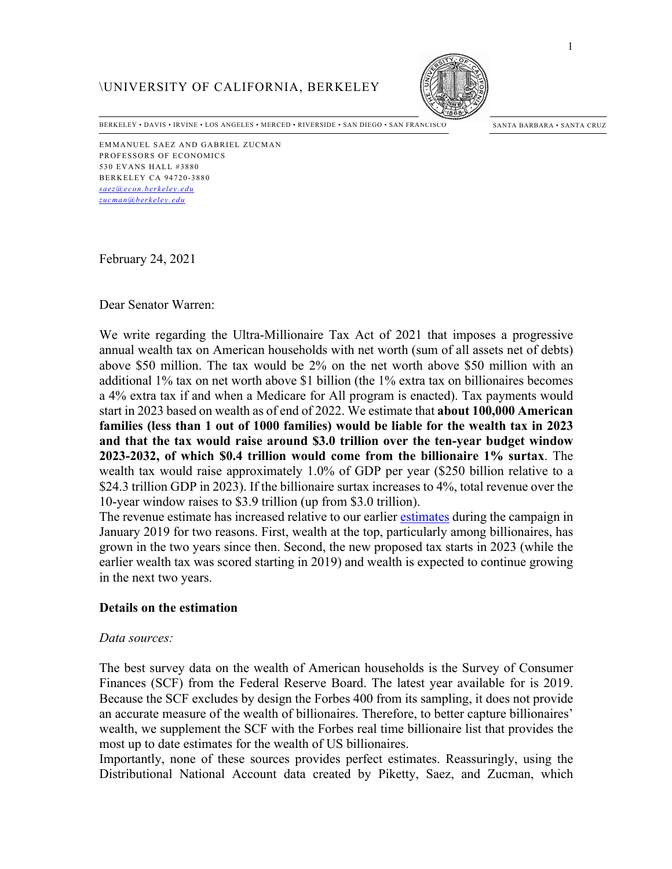# \UNIVERSITY OF CALIFORNIA, BERKELEY



BERKELEY • DAVIS • IRVINE • LOS ANGELES • MERCED • RIVERSIDE • SAN DIEGO • SAN FRANCISCO SANTA BARBARA • SANTA CRUZ

EMMANUEL SAEZ AND GABRIEL ZUCMAN PROFESSORS OF ECONOMICS 530 EVANS HALL #3880 BERKELEY CA 94720-3880 *saez@econ.berkeley.edu zucman@berkeley.edu*

February 24, 2021

### Dear Senator Warren:

We write regarding the Ultra-Millionaire Tax Act of 2021 that imposes a progressive annual wealth tax on American households with net worth (sum of all assets net of debts) above \$50 million. The tax would be 2% on the net worth above \$50 million with an additional 1% tax on net worth above \$1 billion (the 1% extra tax on billionaires becomes a 4% extra tax if and when a Medicare for All program is enacted). Tax payments would start in 2023 based on wealth as of end of 2022. We estimate that **about 100,000 American families (less than 1 out of 1000 families) would be liable for the wealth tax in 2023 and that the tax would raise around \$3.0 trillion over the ten-year budget window 2023-2032, of which \$0.4 trillion would come from the billionaire 1% surtax**. The wealth tax would raise approximately 1.0% of GDP per year (\$250 billion relative to a \$24.3 trillion GDP in 2023). If the billionaire surtax increases to 4%, total revenue over the 10-year window raises to \$3.9 trillion (up from \$3.0 trillion).

The revenue estimate has increased relative to our earlier estimates during the campaign in January 2019 for two reasons. First, wealth at the top, particularly among billionaires, has grown in the two years since then. Second, the new proposed tax starts in 2023 (while the earlier wealth tax was scored starting in 2019) and wealth is expected to continue growing in the next two years.

## **Details on the estimation**

#### *Data sources:*

The best survey data on the wealth of American households is the Survey of Consumer Finances (SCF) from the Federal Reserve Board. The latest year available for is 2019. Because the SCF excludes by design the Forbes 400 from its sampling, it does not provide an accurate measure of the wealth of billionaires. Therefore, to better capture billionaires' wealth, we supplement the SCF with the Forbes real time billionaire list that provides the most up to date estimates for the wealth of US billionaires.

Importantly, none of these sources provides perfect estimates. Reassuringly, using the Distributional National Account data created by Piketty, Saez, and Zucman, which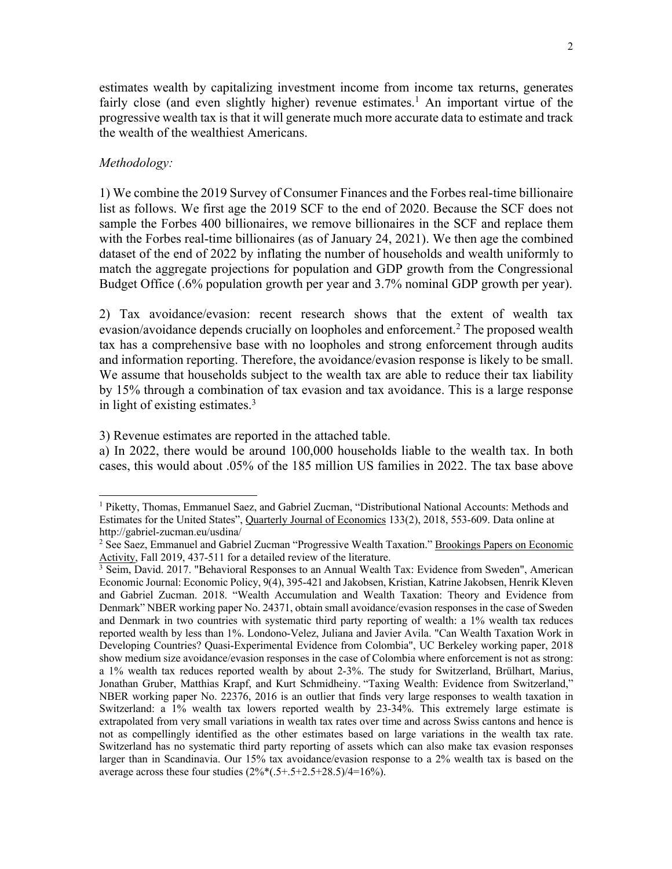estimates wealth by capitalizing investment income from income tax returns, generates fairly close (and even slightly higher) revenue estimates.<sup>1</sup> An important virtue of the progressive wealth tax is that it will generate much more accurate data to estimate and track the wealth of the wealthiest Americans.

### *Methodology:*

1) We combine the 2019 Survey of Consumer Finances and the Forbes real-time billionaire list as follows. We first age the 2019 SCF to the end of 2020. Because the SCF does not sample the Forbes 400 billionaires, we remove billionaires in the SCF and replace them with the Forbes real-time billionaires (as of January 24, 2021). We then age the combined dataset of the end of 2022 by inflating the number of households and wealth uniformly to match the aggregate projections for population and GDP growth from the Congressional Budget Office (.6% population growth per year and 3.7% nominal GDP growth per year).

2) Tax avoidance/evasion: recent research shows that the extent of wealth tax evasion/avoidance depends crucially on loopholes and enforcement. <sup>2</sup> The proposed wealth tax has a comprehensive base with no loopholes and strong enforcement through audits and information reporting. Therefore, the avoidance/evasion response is likely to be small. We assume that households subject to the wealth tax are able to reduce their tax liability by 15% through a combination of tax evasion and tax avoidance. This is a large response in light of existing estimates. 3

3) Revenue estimates are reported in the attached table.

a) In 2022, there would be around 100,000 households liable to the wealth tax. In both cases, this would about .05% of the 185 million US families in 2022. The tax base above

<sup>1</sup> Piketty, Thomas, Emmanuel Saez, and Gabriel Zucman, "Distributional National Accounts: Methods and Estimates for the United States", Quarterly Journal of Economics 133(2), 2018, 553-609. Data online at http://gabriel-zucman.eu/usdina/

<sup>&</sup>lt;sup>2</sup> See Saez, Emmanuel and Gabriel Zucman "Progressive Wealth Taxation." Brookings Papers on Economic Activity, Fall 2019, 437-511 for a detailed review of the literature.

<sup>&</sup>lt;sup>3</sup> Seim, David. 2017. "Behavioral Responses to an Annual Wealth Tax: Evidence from Sweden", American Economic Journal: Economic Policy, 9(4), 395-421 and Jakobsen, Kristian, Katrine Jakobsen, Henrik Kleven and Gabriel Zucman. 2018. "Wealth Accumulation and Wealth Taxation: Theory and Evidence from Denmark" NBER working paper No. 24371, obtain small avoidance/evasion responses in the case of Sweden and Denmark in two countries with systematic third party reporting of wealth: a 1% wealth tax reduces reported wealth by less than 1%. Londono-Velez, Juliana and Javier Avila. "Can Wealth Taxation Work in Developing Countries? Quasi-Experimental Evidence from Colombia", UC Berkeley working paper, 2018 show medium size avoidance/evasion responses in the case of Colombia where enforcement is not as strong: a 1% wealth tax reduces reported wealth by about 2-3%. The study for Switzerland, Brülhart, Marius, Jonathan Gruber, Matthias Krapf, and Kurt Schmidheiny. "Taxing Wealth: Evidence from Switzerland," NBER working paper No. 22376, 2016 is an outlier that finds very large responses to wealth taxation in Switzerland: a 1% wealth tax lowers reported wealth by 23-34%. This extremely large estimate is extrapolated from very small variations in wealth tax rates over time and across Swiss cantons and hence is not as compellingly identified as the other estimates based on large variations in the wealth tax rate. Switzerland has no systematic third party reporting of assets which can also make tax evasion responses larger than in Scandinavia. Our 15% tax avoidance/evasion response to a 2% wealth tax is based on the average across these four studies  $(2\%*(0.5 + 0.5 + 2.5 + 2.5))$ /4=16%).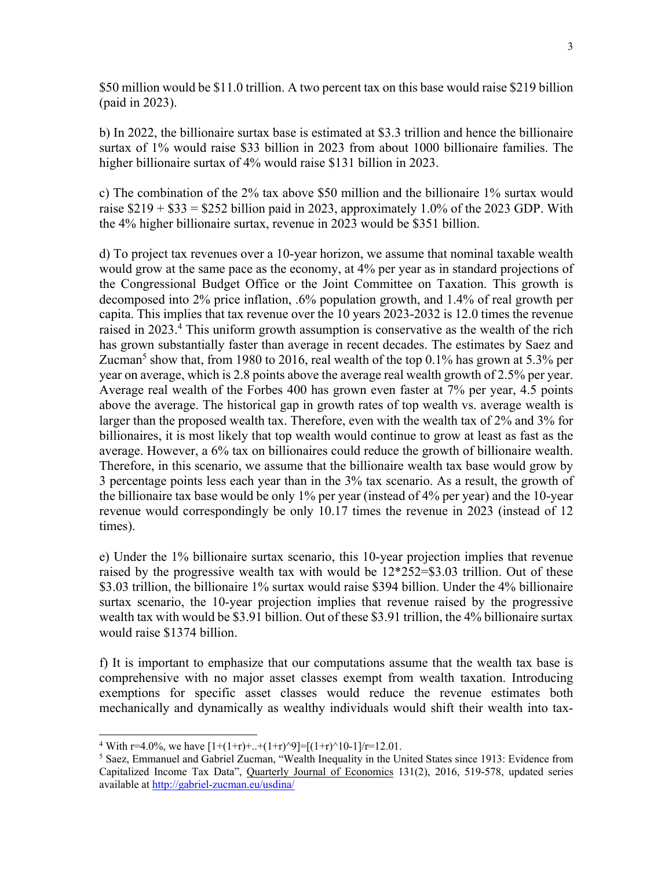\$50 million would be \$11.0 trillion. A two percent tax on this base would raise \$219 billion (paid in 2023).

b) In 2022, the billionaire surtax base is estimated at \$3.3 trillion and hence the billionaire surtax of 1% would raise \$33 billion in 2023 from about 1000 billionaire families. The higher billionaire surtax of 4% would raise \$131 billion in 2023.

c) The combination of the 2% tax above \$50 million and the billionaire 1% surtax would raise  $$219 + $33 = $252$  billion paid in 2023, approximately 1.0% of the 2023 GDP. With the 4% higher billionaire surtax, revenue in 2023 would be \$351 billion.

d) To project tax revenues over a 10-year horizon, we assume that nominal taxable wealth would grow at the same pace as the economy, at 4% per year as in standard projections of the Congressional Budget Office or the Joint Committee on Taxation. This growth is decomposed into 2% price inflation, .6% population growth, and 1.4% of real growth per capita. This implies that tax revenue over the 10 years 2023-2032 is 12.0 times the revenue raised in 2023. <sup>4</sup> This uniform growth assumption is conservative as the wealth of the rich has grown substantially faster than average in recent decades. The estimates by Saez and Zucman<sup>5</sup> show that, from 1980 to 2016, real wealth of the top 0.1% has grown at 5.3% per year on average, which is 2.8 points above the average real wealth growth of 2.5% per year. Average real wealth of the Forbes 400 has grown even faster at 7% per year, 4.5 points above the average. The historical gap in growth rates of top wealth vs. average wealth is larger than the proposed wealth tax. Therefore, even with the wealth tax of 2% and 3% for billionaires, it is most likely that top wealth would continue to grow at least as fast as the average. However, a 6% tax on billionaires could reduce the growth of billionaire wealth. Therefore, in this scenario, we assume that the billionaire wealth tax base would grow by 3 percentage points less each year than in the 3% tax scenario. As a result, the growth of the billionaire tax base would be only 1% per year (instead of 4% per year) and the 10-year revenue would correspondingly be only 10.17 times the revenue in 2023 (instead of 12 times).

e) Under the 1% billionaire surtax scenario, this 10-year projection implies that revenue raised by the progressive wealth tax with would be 12\*252=\$3.03 trillion. Out of these \$3.03 trillion, the billionaire 1% surtax would raise \$394 billion. Under the 4% billionaire surtax scenario, the 10-year projection implies that revenue raised by the progressive wealth tax with would be \$3.91 billion. Out of these \$3.91 trillion, the 4% billionaire surtax would raise \$1374 billion.

f) It is important to emphasize that our computations assume that the wealth tax base is comprehensive with no major asset classes exempt from wealth taxation. Introducing exemptions for specific asset classes would reduce the revenue estimates both mechanically and dynamically as wealthy individuals would shift their wealth into tax-

<sup>&</sup>lt;sup>4</sup> With r=4.0%, we have  $[1+(1+r)+..+(1+r)^{9}]=[ (1+r)^{10}-1]/r=12.01$ .

<sup>5</sup> Saez, Emmanuel and Gabriel Zucman, "Wealth Inequality in the United States since 1913: Evidence from Capitalized Income Tax Data", Quarterly Journal of Economics 131(2), 2016, 519-578, updated series available at http://gabriel-zucman.eu/usdina/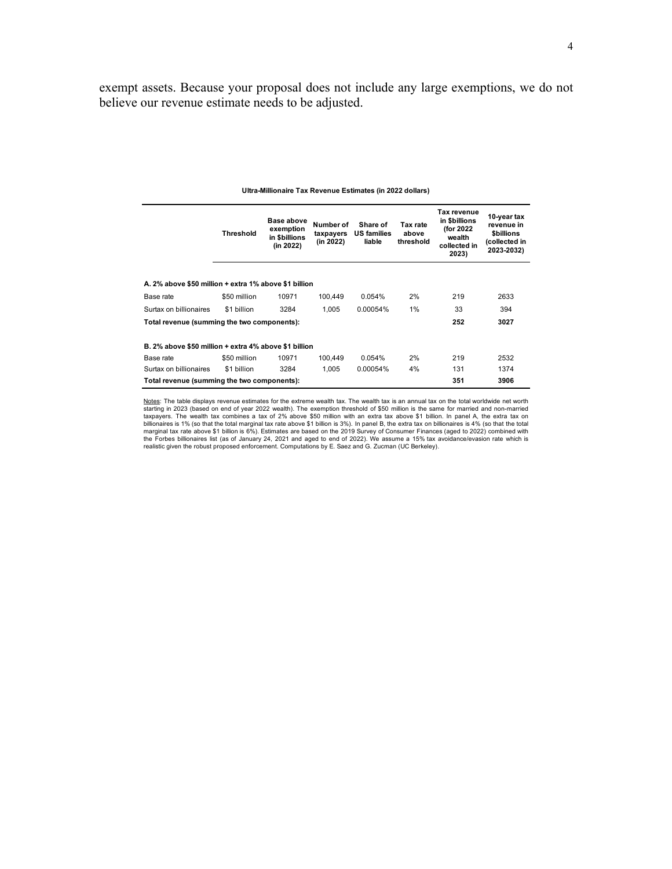exempt assets. Because your proposal does not include any large exemptions, we do not believe our revenue estimate needs to be adjusted.

|                                                       | Threshold    | <b>Base above</b><br>exemption<br>in \$billions<br>(in 2022) | Number of<br>taxpayers<br>(in 2022) | Share of<br><b>US families</b><br>liable | Tax rate<br>above<br>threshold | Tax revenue<br>in \$billions<br>(for 2022<br>wealth<br>collected in<br>2023) | 10-year tax<br>revenue in<br><b><i>Sbillions</i></b><br>(collected in<br>2023-2032) |
|-------------------------------------------------------|--------------|--------------------------------------------------------------|-------------------------------------|------------------------------------------|--------------------------------|------------------------------------------------------------------------------|-------------------------------------------------------------------------------------|
|                                                       |              |                                                              |                                     |                                          |                                |                                                                              |                                                                                     |
| A. 2% above \$50 million + extra 1% above \$1 billion |              |                                                              |                                     |                                          |                                |                                                                              |                                                                                     |
| Base rate                                             | \$50 million | 10971                                                        | 100.449                             | 0.054%                                   | 2%                             | 219                                                                          | 2633                                                                                |
| Surtax on billionaires                                | \$1 billion  | 3284                                                         | 1.005                               | 0.00054%                                 | 1%                             | 33                                                                           | 394                                                                                 |
| Total revenue (summing the two components):           |              |                                                              |                                     |                                          |                                | 252                                                                          | 3027                                                                                |
| B. 2% above \$50 million + extra 4% above \$1 billion |              |                                                              |                                     |                                          |                                |                                                                              |                                                                                     |
| Base rate                                             | \$50 million | 10971                                                        | 100.449                             | 0.054%                                   | 2%                             | 219                                                                          | 2532                                                                                |
| Surtax on billionaires                                | \$1 billion  | 3284                                                         | 1.005                               | 0.00054%                                 | 4%                             | 131                                                                          | 1374                                                                                |
| Total revenue (summing the two components):           |              |                                                              |                                     |                                          |                                | 351                                                                          | 3906                                                                                |

#### **Ultra-Millionaire Tax Revenue Estimates (in 2022 dollars)**

Notes: The table displays revenue estimates for the extreme wealth tax. The wealth tax is an annual tax on the total worldwide net worth starting in 2023 (based on end of year 2022 wealth). The exemption threshold of \$50 million is the same for married and non-married<br>taxpayers. The wealth tax combines a tax of 2% above \$50 million with an extra tax above \$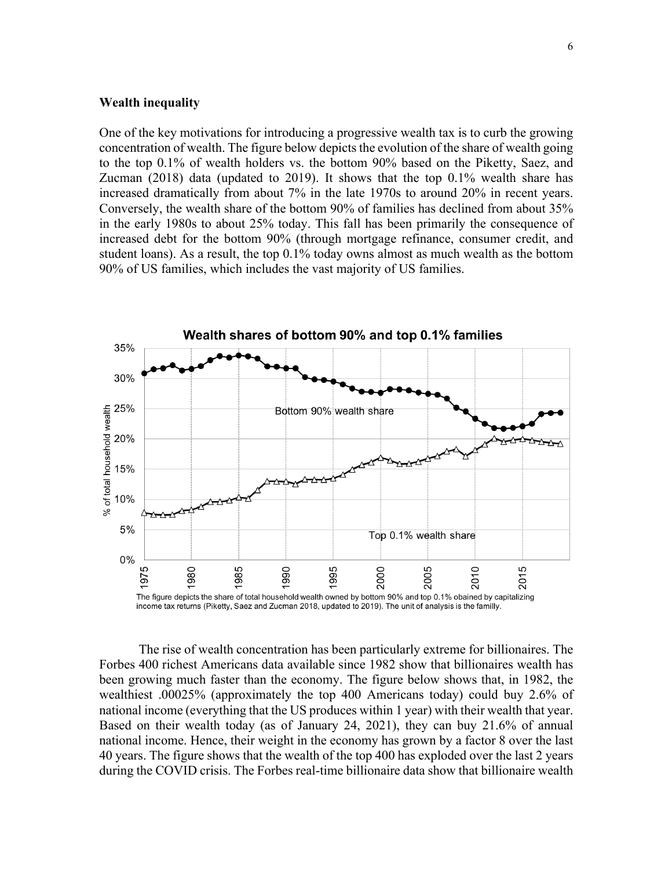### **Wealth inequality**

One of the key motivations for introducing a progressive wealth tax is to curb the growing concentration of wealth. The figure below depicts the evolution of the share of wealth going to the top 0.1% of wealth holders vs. the bottom 90% based on the Piketty, Saez, and Zucman (2018) data (updated to 2019). It shows that the top 0.1% wealth share has increased dramatically from about 7% in the late 1970s to around 20% in recent years. Conversely, the wealth share of the bottom 90% of families has declined from about 35% in the early 1980s to about 25% today. This fall has been primarily the consequence of increased debt for the bottom 90% (through mortgage refinance, consumer credit, and student loans). As a result, the top 0.1% today owns almost as much wealth as the bottom 90% of US families, which includes the vast majority of US families.



The rise of wealth concentration has been particularly extreme for billionaires. The Forbes 400 richest Americans data available since 1982 show that billionaires wealth has been growing much faster than the economy. The figure below shows that, in 1982, the wealthiest .00025% (approximately the top 400 Americans today) could buy 2.6% of national income (everything that the US produces within 1 year) with their wealth that year. Based on their wealth today (as of January 24, 2021), they can buy 21.6% of annual national income. Hence, their weight in the economy has grown by a factor 8 over the last 40 years. The figure shows that the wealth of the top 400 has exploded over the last 2 years during the COVID crisis. The Forbes real-time billionaire data show that billionaire wealth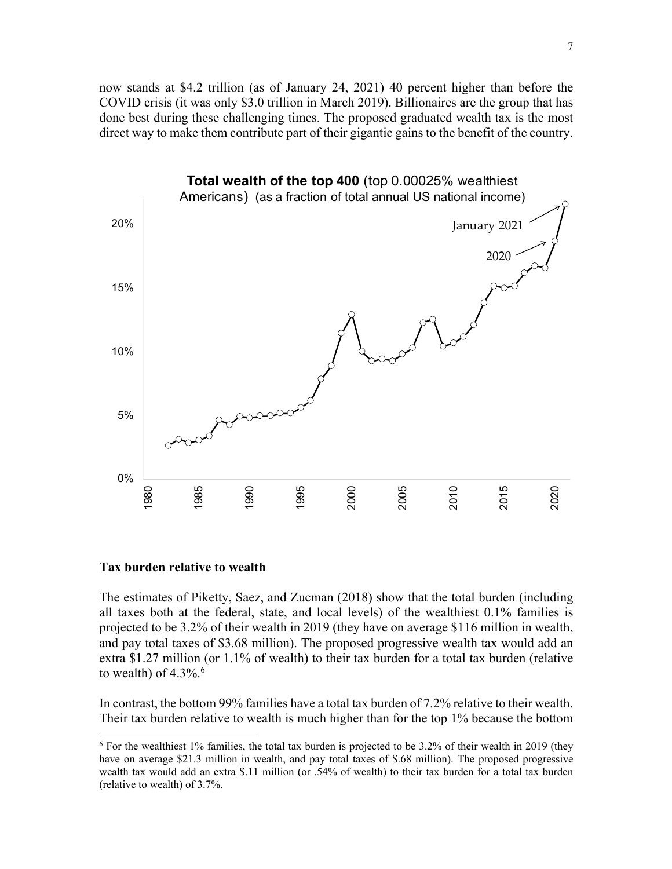now stands at \$4.2 trillion (as of January 24, 2021) 40 percent higher than before the COVID crisis (it was only \$3.0 trillion in March 2019). Billionaires are the group that has done best during these challenging times. The proposed graduated wealth tax is the most direct way to make them contribute part of their gigantic gains to the benefit of the country.



### **Tax burden relative to wealth**

The estimates of Piketty, Saez, and Zucman (2018) show that the total burden (including all taxes both at the federal, state, and local levels) of the wealthiest 0.1% families is projected to be 3.2% of their wealth in 2019 (they have on average \$116 million in wealth, and pay total taxes of \$3.68 million). The proposed progressive wealth tax would add an extra \$1.27 million (or 1.1% of wealth) to their tax burden for a total tax burden (relative to wealth) of  $4.3\%$ .<sup>6</sup>

In contrast, the bottom 99% families have a total tax burden of 7.2% relative to their wealth. Their tax burden relative to wealth is much higher than for the top 1% because the bottom

<sup>6</sup> For the wealthiest 1% families, the total tax burden is projected to be 3.2% of their wealth in 2019 (they have on average \$21.3 million in wealth, and pay total taxes of \$.68 million). The proposed progressive wealth tax would add an extra \$.11 million (or .54% of wealth) to their tax burden for a total tax burden (relative to wealth) of 3.7%.